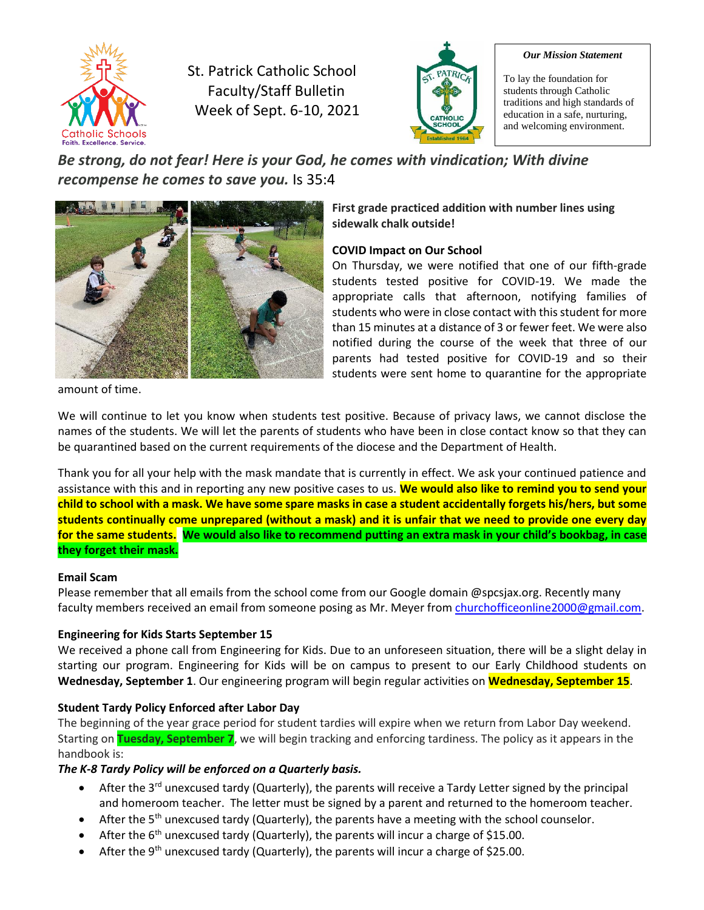

St. Patrick Catholic School Faculty/Staff Bulletin Week of Sept. 6-10, 2021



#### *Our Mission Statement*

To lay the foundation for students through Catholic traditions and high standards of education in a safe, nurturing, and welcoming environment.

*Be strong, do not fear! Here is your God, he comes with vindication; With divine recompense he comes to save you.* Is 35:4



**First grade practiced addition with number lines using sidewalk chalk outside!**

## **COVID Impact on Our School**

On Thursday, we were notified that one of our fifth-grade students tested positive for COVID-19. We made the appropriate calls that afternoon, notifying families of students who were in close contact with this student for more than 15 minutes at a distance of 3 or fewer feet. We were also notified during the course of the week that three of our parents had tested positive for COVID-19 and so their students were sent home to quarantine for the appropriate

amount of time.

We will continue to let you know when students test positive. Because of privacy laws, we cannot disclose the names of the students. We will let the parents of students who have been in close contact know so that they can be quarantined based on the current requirements of the diocese and the Department of Health.

Thank you for all your help with the mask mandate that is currently in effect. We ask your continued patience and assistance with this and in reporting any new positive cases to us. **We would also like to remind you to send your child to school with a mask. We have some spare masks in case a student accidentally forgets his/hers, but some students continually come unprepared (without a mask) and it is unfair that we need to provide one every day for the same students. We would also like to recommend putting an extra mask in your child's bookbag, in case they forget their mask.**

#### **Email Scam**

Please remember that all emails from the school come from our Google domain @spcsjax.org. Recently many faculty members received an email from someone posing as Mr. Meyer from [churchofficeonline2000@gmail.com.](mailto:churchofficeonline2000@gmail.com)

## **Engineering for Kids Starts September 15**

We received a phone call from Engineering for Kids. Due to an unforeseen situation, there will be a slight delay in starting our program. Engineering for Kids will be on campus to present to our Early Childhood students on **Wednesday, September 1**. Our engineering program will begin regular activities on **Wednesday, September 15**.

## **Student Tardy Policy Enforced after Labor Day**

The beginning of the year grace period for student tardies will expire when we return from Labor Day weekend. Starting on **Tuesday, September 7**, we will begin tracking and enforcing tardiness. The policy as it appears in the handbook is:

#### *The K-8 Tardy Policy will be enforced on a Quarterly basis.*

- After the  $3<sup>rd</sup>$  unexcused tardy (Quarterly), the parents will receive a Tardy Letter signed by the principal and homeroom teacher. The letter must be signed by a parent and returned to the homeroom teacher.
- After the  $5<sup>th</sup>$  unexcused tardy (Quarterly), the parents have a meeting with the school counselor.
- After the  $6<sup>th</sup>$  unexcused tardy (Quarterly), the parents will incur a charge of \$15.00.
- After the 9<sup>th</sup> unexcused tardy (Quarterly), the parents will incur a charge of \$25.00.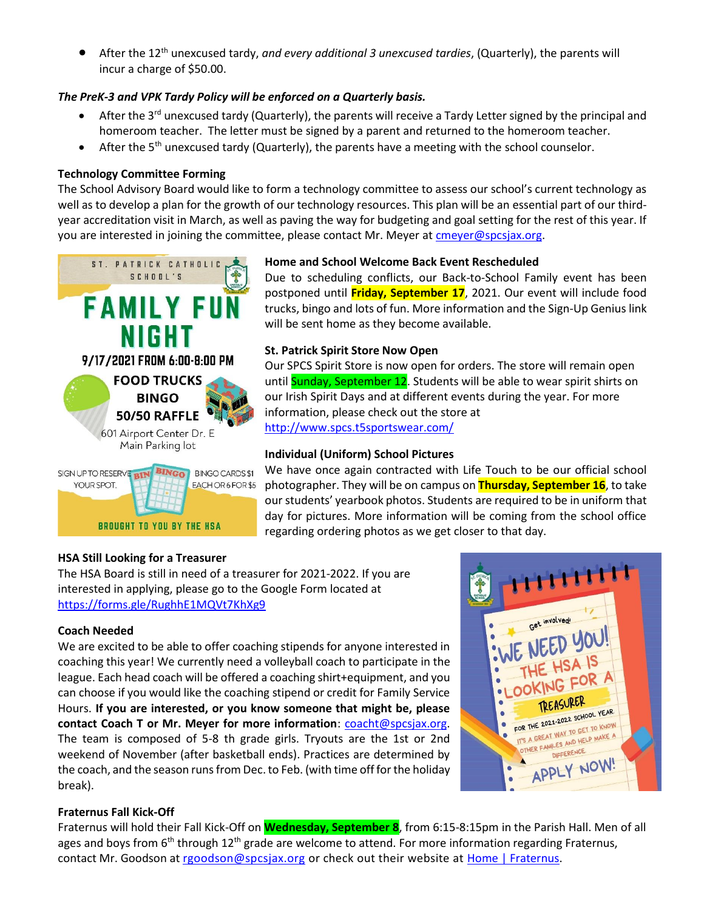• After the 12th unexcused tardy, *and every additional 3 unexcused tardies*, (Quarterly), the parents will incur a charge of \$50.00.

## *The PreK-3 and VPK Tardy Policy will be enforced on a Quarterly basis.*

- After the 3<sup>rd</sup> unexcused tardy (Quarterly), the parents will receive a Tardy Letter signed by the principal and homeroom teacher. The letter must be signed by a parent and returned to the homeroom teacher.
- After the  $5<sup>th</sup>$  unexcused tardy (Quarterly), the parents have a meeting with the school counselor.

#### **Technology Committee Forming**

The School Advisory Board would like to form a technology committee to assess our school's current technology as well as to develop a plan for the growth of our technology resources. This plan will be an essential part of our thirdyear accreditation visit in March, as well as paving the way for budgeting and goal setting for the rest of this year. If you are interested in joining the committee, please contact Mr. Meyer at [cmeyer@spcsjax.org.](mailto:cmeyer@spcsjax.org)



#### **Home and School Welcome Back Event Rescheduled**

Due to scheduling conflicts, our Back-to-School Family event has been postponed until **Friday, September 17**, 2021. Our event will include food trucks, bingo and lots of fun. More information and the Sign-Up Genius link will be sent home as they become available.

#### **St. Patrick Spirit Store Now Open**

Our SPCS Spirit Store is now open for orders. The store will remain open until **Sunday, September 12**. Students will be able to wear spirit shirts on our Irish Spirit Days and at different events during the year. For more information, please check out the store at <http://www.spcs.t5sportswear.com/>

#### **Individual (Uniform) School Pictures**

We have once again contracted with Life Touch to be our official school photographer. They will be on campus on **Thursday, September 16**, to take our students' yearbook photos. Students are required to be in uniform that day for pictures. More information will be coming from the school office regarding ordering photos as we get closer to that day.

#### **HSA Still Looking for a Treasurer**

The HSA Board is still in need of a treasurer for 2021-2022. If you are interested in applying, please go to the Google Form located at <https://forms.gle/RughhE1MQVt7KhXg9>

#### **Coach Needed**

We are excited to be able to offer coaching stipends for anyone interested in coaching this year! We currently need a volleyball coach to participate in the league. Each head coach will be offered a coaching shirt+equipment, and you can choose if you would like the coaching stipend or credit for Family Service Hours. **If you are interested, or you know someone that might be, please contact Coach T or Mr. Meyer for more information**: [coacht@spcsjax.org.](mailto:coacht@spcsjax.org) The team is composed of 5-8 th grade girls. Tryouts are the 1st or 2nd weekend of November (after basketball ends). Practices are determined by the coach, and the season runs from Dec. to Feb. (with time off for the holiday break).



#### **Fraternus Fall Kick-Off**

Fraternus will hold their Fall Kick-Off on **Wednesday, September 8**, from 6:15-8:15pm in the Parish Hall. Men of all ages and boys from  $6<sup>th</sup>$  through 12<sup>th</sup> grade are welcome to attend. For more information regarding Fraternus, contact Mr. Goodson at [rgoodson@spcsjax.org](mailto:rgoodson@spcsjax.org) or check out their website at [Home | Fraternus.](https://fraternus.net/)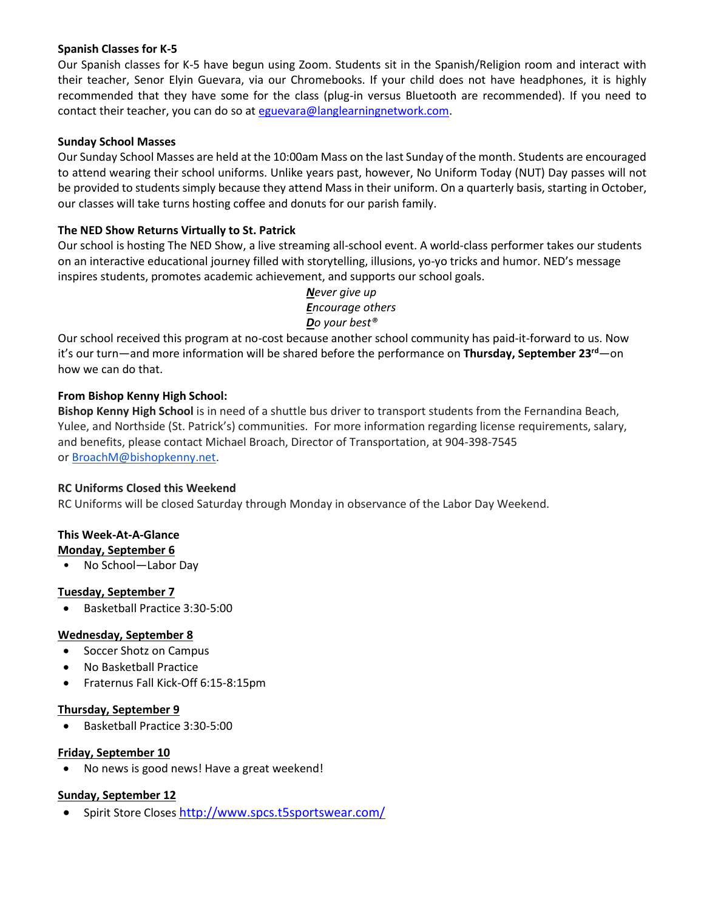#### **Spanish Classes for K-5**

Our Spanish classes for K-5 have begun using Zoom. Students sit in the Spanish/Religion room and interact with their teacher, Senor Elyin Guevara, via our Chromebooks. If your child does not have headphones, it is highly recommended that they have some for the class (plug-in versus Bluetooth are recommended). If you need to contact their teacher, you can do so at [eguevara@langlearningnetwork.com.](mailto:eguevara@langlearningnetwork.com)

## **Sunday School Masses**

Our Sunday School Masses are held at the 10:00am Mass on the last Sunday of the month. Students are encouraged to attend wearing their school uniforms. Unlike years past, however, No Uniform Today (NUT) Day passes will not be provided to students simply because they attend Mass in their uniform. On a quarterly basis, starting in October, our classes will take turns hosting coffee and donuts for our parish family.

## **The NED Show Returns Virtually to St. Patrick**

Our school is hosting The NED Show, a live streaming all-school event. A world-class performer takes our students on an interactive educational journey filled with storytelling, illusions, yo-yo tricks and humor. NED's message inspires students, promotes academic achievement, and supports our school goals.

> *Never give up Encourage others Do your best®*

Our school received this program at no-cost because another school community has paid-it-forward to us. Now it's our turn—and more information will be shared before the performance on **Thursday, September 23rd**—on how we can do that.

## **From Bishop Kenny High School:**

**Bishop Kenny High School** is in need of a shuttle bus driver to transport students from the Fernandina Beach, Yulee, and Northside (St. Patrick's) communities. For more information regarding license requirements, salary, and benefits, please contact Michael Broach, Director of Transportation, at 904-398-7545 or [BroachM@bishopkenny.net.](mailto:BroachM@bishopkenny.net)

#### **RC Uniforms Closed this Weekend**

RC Uniforms will be closed Saturday through Monday in observance of the Labor Day Weekend.

# **This Week-At-A-Glance**

- **Monday, September 6**
- No School—Labor Day

## **Tuesday, September 7**

• Basketball Practice 3:30-5:00

## **Wednesday, September 8**

- Soccer Shotz on Campus
- No Basketball Practice
- Fraternus Fall Kick-Off 6:15-8:15pm

#### **Thursday, September 9**

• Basketball Practice 3:30-5:00

#### **Friday, September 10**

• No news is good news! Have a great weekend!

## **Sunday, September 12**

Spirit Store Closes <http://www.spcs.t5sportswear.com/>